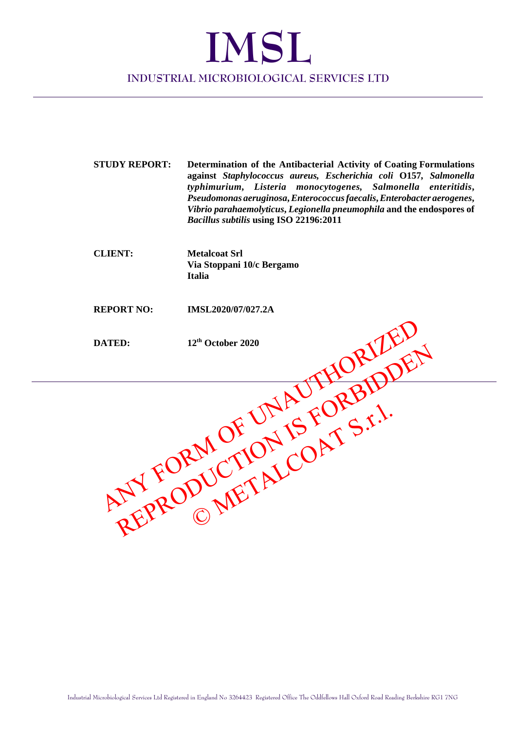## **IMSL INDUSTRIAL MICROBIOLOGICAL SERVICES LTD**